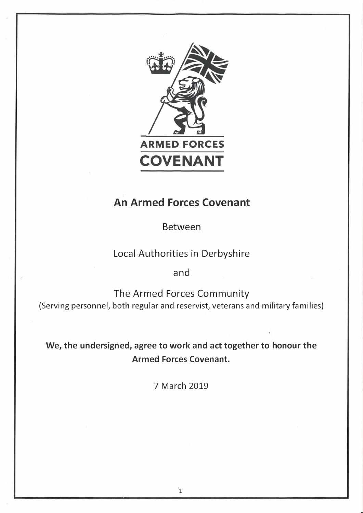

# **An Armed Forces Covenant**

Between

## Local Authorities in Derbyshire

and

The Armed Forces Community {Serving personnel, both regular and reservist, veterans and military families)

**We, the undersigned, agree to work and act together to honour the Armed Forces Covenant.** 

7 March 2019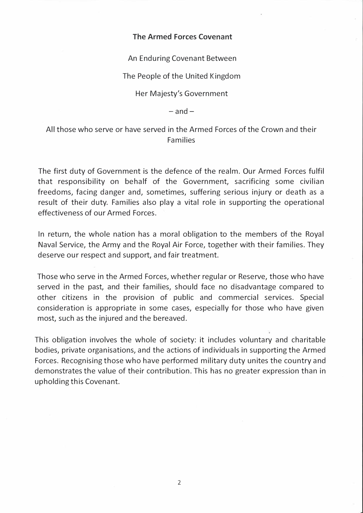## **The Armed Forces Covenant**

An Enduring Covenant Between

The People of the United Kingdom

Her Majesty's Government

 $-$ and $-$ 

All those who serve or have served in the Armed Forces of the Crown and their Families

The first duty of Government is the defence of the realm. Our Armed Forces fulfil that responsibility on behalf of the Government, sacrificing some civilian freedoms, facing danger and, sometimes, suffering serious injury or death as a result of their duty. Families also play a vital role in supporting the operational effectiveness of our Armed Forces.

In return, the whole nation has a moral obligation to the members of the Royal Naval Service, the Army and the Royal Air Force, together with their families. They deserve our respect and support, and fair treatment.

Those who serve in the Armed Forces, whether regular or Reserve, those who have served in the past, and their families, should face no disadvantage compared to other citizens in the provision of public and commercial services. Special consideration is appropriate in some cases, especially for those who have given most, such as the injured and the bereaved.

This obligation involves the whole of society: it includes voluntary and charitable bodies, private organisations, and the actions of individuals in supporting the Armed Forces. Recognising those who have performed military duty unites the country and demonstrates the value of their contribution. This has no greater expression than in upholding this Covenant.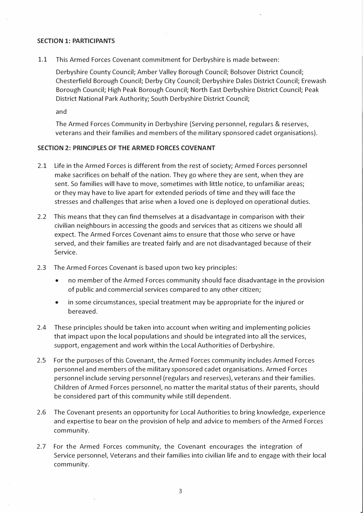#### **SECTION 1: PARTICIPANTS**

1.1 This Armed Forces Covenant commitment for Derbyshire is made between:

Derbyshire County Council; Amber Valley Borough Council; Bolsover District Council; Chesterfield Borough Council; Derby City Council; Derbyshire Dales District Council; Erewash Borough Council; High Peak Borough Council; North East Derbyshire District Council; Peak District National Park Authority; South Derbyshire District Council;

and

The Armed Forces Community in Derbyshire (Serving personnel, regulars & reserves, veterans and their families and members of the military sponsored cadet organisations).

#### **SECTION 2: PRINCIPLES OF THE ARMED FORCES COVENANT**

- 2.1 Life in the Armed Forces is different from the rest of society; Armed Forces personnel make sacrifices on behalf of the nation. They go where they are sent, when they are sent. So families will have to move, sometimes with little notice, to unfamiliar areas; or they may have to live apart for extended periods of time and they will face the stresses and challenges that arise when a loved one is deployed on operational duties.
- 2.2 This means that they can find themselves at a disadvantage in comparison with their civilian neighbours in accessing the goods and services that as citizens we should all expect. The Armed Forces Covenant aims to ensure that those who serve or have served, and their families are treated fairly and are not disadvantaged because of their Service.
- 2.3 The Armed Forces Covenant is based upon two key principles:
	- no member of the Armed Forces community should face disadvantage in the provision of public and commercial services compared to any other citizen;
	- in some circumstances, special treatment may be appropriate for the injured or bereaved.
- 2.4 These principles should be taken into account when writing and implementing policies that impact upon the local populations and should be integrated into all the services, support, engagement and work within the Local Authorities of Derbyshire.
- 2.5 For the purposes of this Covenant, the Armed Forces community includes Armed Forces personnel and members of the military sponsored cadet organisations. Armed Forces personnel include serving personnel (regulars and reserves), veterans and their families. Children of Armed Forces personnel, no matter the marital status of their parents, should be considered part of this community while still dependent.
- 2.6 The Covenant presents an opportunity for Local Authorities to bring knowledge, experience and expertise to bear on the provision of help and advice to members of the Armed Forces community.
- 2.7 For the Armed Forces community, the Covenant encourages the integration of Service personnel, Veterans and their families into civilian life and to engage with their local community.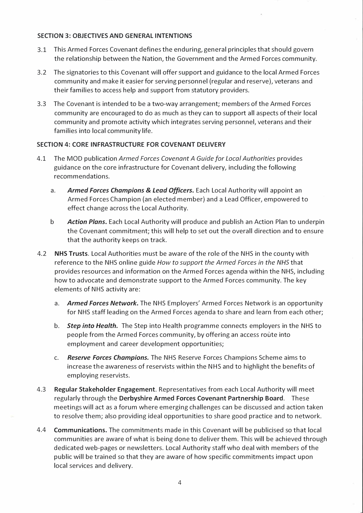## **SECTION 3: OBJECTIVES AND GENERAL INTENTIONS**

- **3.1 This Armed Forces Covenant defines the enduring, general principles that should govern the relationship between the Nation, the Government and the Armed Forces community.**
- **3.2 The signatories to this Covenant will offer support and guidance to the local Armed Forces community and make it easier for serving personnel (regular and reserve), veterans and their families to access help and support from statutory providers.**
- **3.3 The Covenant is intended to be a two-way arrangement; members of the Armed Forces community are encouraged to do as much as they can to support all aspects of their local community and promote activity which integrates serving personnel, veterans and their families into local community life.**

## **SECTION 4: CORE INFRASTRUCTURE FOR COVENANT DELIVERY**

- **4.1 The MOD publication** *Armed Forces Covenant A Guide for Local Authorities* **provides guidance on the core infrastructure for Covenant delivery, including the following recommendations.** 
	- **a.** *Armed Forces Champions* **&** *Lead Officers.* **Each Local Authority will appoint an Armed Forces Champion (an elected member) and a Lead Officer, empowered to effect change across the Local Authority.**
	- **b** *Action Plans.* **Each Local Authority will produce and publish an Action Plan to underpin the Covenant commitment; this will help to set out the overall direction and to ensure that the authority keeps on track.**
- **4.2 NHS Trusts. Local Authorities must be aware of the role of the NHS in the county with reference to the NHS online guide** *How to support the Armed Forces in the NHS* **that provides resources and information on the Armed Forces agenda within the NHS, including how to advocate and demonstrate support to the Armed Forces community. The key elements of NHS activity are:** 
	- **a.** *Armed Forces Network.* **The NHS Employers' Armed Forces Network is an opportunity for NHS staff leading on the Armed Forces agenda to share and learn from each other;**
	- **b.** *Step into Health.* **The Step into Health programme connects employers in the NHS to people from the Armed Forces community, by offering an access route into employment and career development opportunities;**
	- **c.** *Reserve Forces Champions.* **The NHS Reserve Forces Champions Scheme aims to increase the awareness of reservists within the NHS and to highlight the benefits of employing reservists.**
- **4.3 Regular Stakeholder Engagement. Representatives from each Local Authority will meet regularly through the Derbyshire Armed Forces Covenant Partnership Board. These meetings will act as a forum where emerging challenges can be discussed and action taken to resolve them; also providing ideal opportunities to share good practice and to network.**
- **4.4 Communications. The commitments made in this Covenant will be publicised so that local communities are aware of what is being done to deliver them. This will be achieved through dedicated web-pages or newsletters. Local Authority staff who deal with members of the public will be trained so that they are aware of how specific commitments impact upon local services and delivery.**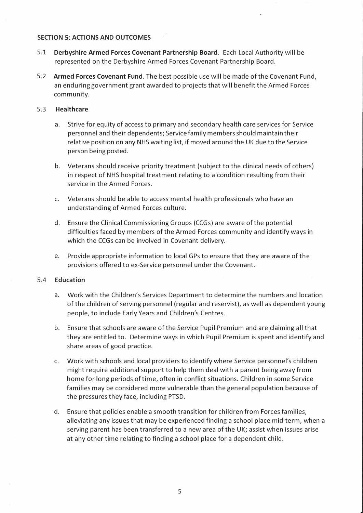#### **SECTION 5: ACTIONS AND OUTCOMES**

- **5.1 Derbyshire Armed Forces Covenant Partnership Board. Each Local Authority will be represented on the Derbyshire Armed Forces Covenant Partnership Board.**
- **5.2 Armed Forces Covenant Fund. The best possible use will be made of the Covenant Fund, an enduring government grant awarded to projects that will benefit the Armed Forces community.**

#### 5.3 **Healthcare**

- **a. Strive for equity of access to primary and secondary health care services for Service personnel and their dependents; Service family members should maintain their relative position on any NHS waiting list, if moved around the UK due to the Service person being posted.**
- **b. Veterans should receive priority treatment (subject to the clinical needs of others) in respect of NHS hospital treatment relating to a condition resulting from their service in the Armed Forces.**
- **c. Veterans should be able to access mental health professionals who have an understanding of Armed Forces culture.**
- **d. Ensure the Clinical Commissioning Groups (CCGs) are aware of the potential difficulties faced by members of the Armed Forces community and identify ways in which the CCGs can be involved in Covenant delivery.**
- **e. Provide appropriate information to local GPs to ensure that they are aware of the provisions offered to ex-Service personnel under the Covenant.**

#### 5.4 **Education**

- **a. Work with the Children's Services Department to determine the numbers and location of the children of serving personnel (regular and reservist), as well as dependent young people, to include Early Years and Children's Centres.**
- **b.** Ensure that schools are aware of the Service Pupil Premium and are claiming all that **they are entitled to. Determine ways in which Pupil Premium is spent and identify and share areas of good practice.**
- **c. Work with schools and local providers to identify where Service personnel's children might require additional support to help them deal with a parent being away from home for long periods of time, often in conflict situations. Children in some Service families may be considered more vulnerable than the general population because of the pressures they face, including PTSD.**
- **d. Ensure that policies enable a smooth transition for children from Forces families, alleviating any issues that may be experienced finding a school place mid-term, when a serving parent has been transferred to a new area of the UK; assist when issues arise at any other time relating to finding a school place for a dependent child.**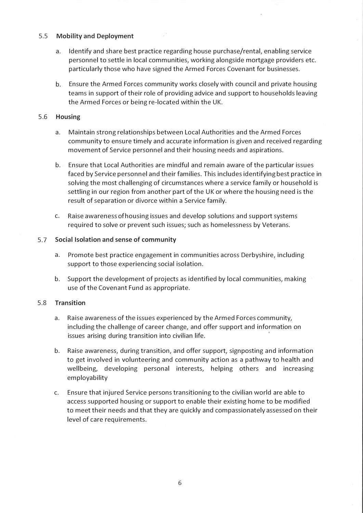### 5.5 **Mobility and Deployment**

- **a. Identify and share best practice regarding house purchase/rental, enabling service personnel to settle in local communities, working alongside mortgage providers etc. particularly those who have signed the Armed Forces Covenant for businesses.**
- **b. Ensure the Armed Forces community works closely with council and private housing teams in support of their role of providing advice and support to households leaving the Armed Forces or being re-located within the UK.**

## 5.6 **Housing**

- **a. Maintain strong relationships between Local Authorities and the Armed Forces community to ensure timely and accurate information is given and received regarding movement of Service personnel and their housing needs and aspirations.**
- **b. Ensure that Local Authorities are mindful and remain aware of the particular issues faced by Service personnel and their families. This includes identifying best practice in solving the most challenging of circumstances where a service family or household is settling in our region from another part of the UK or where the housing need is the result of separation or divorce within a Service family.**
- **c. Raise awareness of housing issues and develop solutions and support systems required to solve or prevent such issues; such as homelessness by Veterans.**

## 5. 7 **Social Isolation and sense of community**

- **a. Promote best practice engagement in communities across Derbyshire, including support to those experiencing social isolation.**
- **b. Support the development of projects as identified by local communities, making use of the Covenant Fund as appropriate.**

## 5.8 **Transition**

- **a. Raise awareness of the issues experienced by the Armed Forces community, including the challenge of career change, and offer support and information on issues arising during transition into civilian life. ·**
- **b. Raise awareness, during transition, and offer support, signposting and information to get involved in volunteering and community action as a pathway to health and wellbeing, developing personal interests, helping others and increasing employability**
- **c. Ensure that injured Service persons transitioning to the civilian world are able to access supported housing or support to enable their existing home to be modified to meet their needs and that they are quickly and compassionately assessed on their level of care requirements.**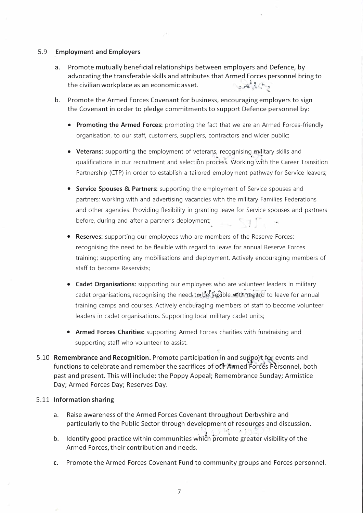#### 5.9 **Employment and Employers**

- **a. Promote mutually beneficial relationships between employers and Defence, by advocating the transferable skills and attributes that Armed Forces personnel bring to**  the civilian workplace as an economic asset.
- **b. Promote the Armed Forces Covenant for business, encouraging employers to sign the Covenant in order to pledge commitments to support Defence personnel by:** 
	- **Promoting the Armed Forces:** promoting the fact that we are an Armed Forces-friendly organisation, to our staff, customers, suppliers, contractors and wider public;
	- Veterans: supporting the employment of veterans, recognising military skills and qualifications in our recruitment and selection process. Working with the Career Transition Partnership (CTP) in order to establish a tailored employment pathway for Service leavers;
	- **Service Spouses** & **Partners:** supporting the employment of Service spouses and partners; working with and advertising vacancies with the military Families Federations and other agencies. Providing flexibility in granting leave for Service spouses and partners before, during and after a partner's deployment;
	- **Reserves:** supporting our employees who are members of the Reserve Forces: recognising the need to be flexible with regard to leave for annual Reserve Forces training; supporting any mobilisations and deployment. Actively encouraging members of staff to become Reservists;
	- **Cadet Organisations:** supporting our employees who are volunteer leaders in military cadet organisations, recognising the need to be fiexible with regard to leave for annual training camps and courses. Actively encou'raging members of staff to become volunteer leaders in cadet organisations. Supporting local military cadet units;
	- Armed Forces Charities: supporting Armed Forces charities with fundraising and supporting staff who volunteer to assist.
- **5.10 Remembrance and Recognition.** Promote participation in and support for events and functions to celebrate and remember the sacrifices of our Armed Forces Personnel, both **past and present. This will include: the Poppy Appeal; Remembrance Sunday; Armistice Day; Armed Forces Day; Reserves Day.**

#### 5.11 **Information sharing**

- **a. Raise awareness of the Armed Forces Covenant throughout Derbyshire and**  particularly to the Public Sector through development of resources and discussion.
- b. Identify good practice within communities which promote greater visibility of the **Armed Forces, their contribution and needs.**
- **c. Promote the Armed Forces Covenant Fund to community groups and Forces personnel.**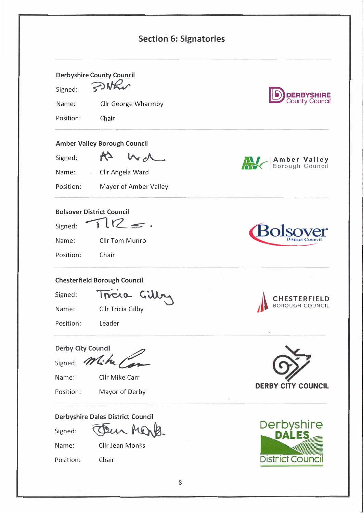| <b>Section 6: Signatories</b> |                                          |                                        |  |  |
|-------------------------------|------------------------------------------|----------------------------------------|--|--|
|                               | <b>Derbyshire County Council</b>         |                                        |  |  |
| Signed:                       | PWEN                                     | <b>ERBYSHIRE</b>                       |  |  |
| Name:                         | Cllr George Wharmby                      |                                        |  |  |
| Position:                     | Chair                                    |                                        |  |  |
|                               | <b>Amber Valley Borough Council</b>      |                                        |  |  |
| Signed:                       | K <sub>2</sub>                           | Amber Valley<br>Borough Council        |  |  |
| Name:                         | Cllr Angela Ward<br>$\mathcal{A}_1$ .    |                                        |  |  |
| Position:                     | Mayor of Amber Valley                    |                                        |  |  |
| Name:<br>Position:            | Cllr Tom Munro<br>Chair                  |                                        |  |  |
|                               | <b>Chesterfield Borough Council</b>      |                                        |  |  |
| Signed:                       | Incia                                    |                                        |  |  |
| Name:                         | Cllr Tricia Gilby                        | <b>CHESTERFIELD</b><br>BOROUGH COUNCIL |  |  |
| Position:                     | Leader                                   |                                        |  |  |
| <b>Derby City Council</b>     |                                          |                                        |  |  |
| Signed:                       | 4.61                                     |                                        |  |  |
| Name:                         | Cllr Mike Carr                           |                                        |  |  |
| Position:                     | Mayor of Derby                           | <b>DERBY CITY COUNCIL</b>              |  |  |
|                               | <b>Derbyshire Dales District Council</b> |                                        |  |  |
| Signed:                       |                                          | <b>Derbyshire</b><br><b>DALES</b>      |  |  |
| Name:                         | Cllr Jean Monks                          |                                        |  |  |
| Position:                     | Chair                                    | <b>District Counci</b>                 |  |  |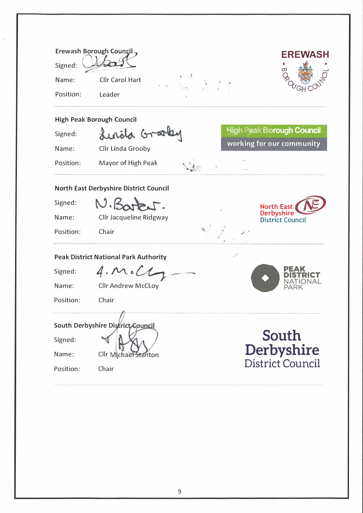|                                               | Erewash Borough Council,                   | EREWASH                                      |  |  |  |  |
|-----------------------------------------------|--------------------------------------------|----------------------------------------------|--|--|--|--|
| Signed:                                       |                                            |                                              |  |  |  |  |
| Name:                                         | Cllr Carol Hart                            |                                              |  |  |  |  |
| Position:                                     | Leader                                     |                                              |  |  |  |  |
| <b>High Peak Borough Council</b>              |                                            |                                              |  |  |  |  |
| Signed:                                       | Lunita Gra                                 | <b>High Peak Borough Council</b>             |  |  |  |  |
| Name:                                         | Cllr Linda Grooby                          | working for our community                    |  |  |  |  |
| Position:                                     | Mayor of High Peak                         |                                              |  |  |  |  |
| <b>North East Derbyshire District Council</b> |                                            |                                              |  |  |  |  |
| Signed:                                       | N.Barb.                                    | <b>North East</b>                            |  |  |  |  |
| Name:                                         | Cllr Jacqueline Ridgway                    | <b>Derbyshire</b><br><b>District Council</b> |  |  |  |  |
| Position:                                     | Chair                                      |                                              |  |  |  |  |
| <b>Peak District National Park Authority</b>  |                                            |                                              |  |  |  |  |
| Signed:                                       | $4.\mathcal{M}$                            |                                              |  |  |  |  |
| Name:                                         | <b>Cllr Andrew McCLoy</b>                  |                                              |  |  |  |  |
| Position:                                     | Chair                                      |                                              |  |  |  |  |
|                                               |                                            |                                              |  |  |  |  |
|                                               | South Derbyshire District Council<br>South |                                              |  |  |  |  |
| Signed:                                       |                                            |                                              |  |  |  |  |
| Name:                                         | Cllr Michael Stanton                       | Derbyshire                                   |  |  |  |  |
| Position:                                     | Chair                                      | <b>District Council</b>                      |  |  |  |  |
|                                               |                                            |                                              |  |  |  |  |